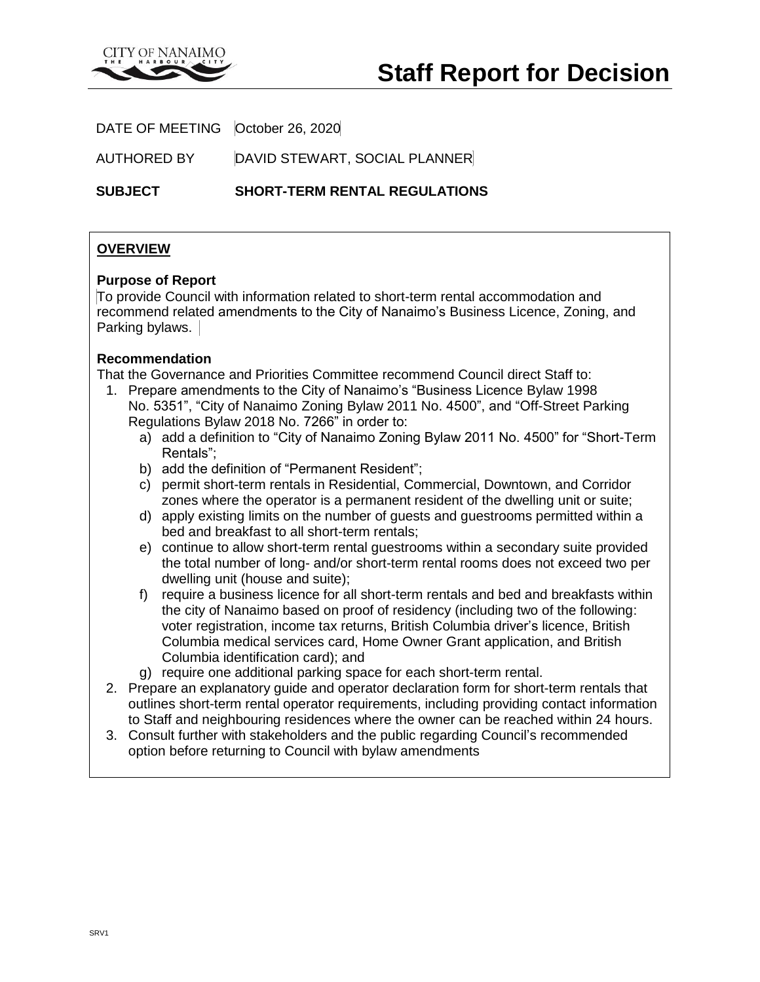

DATE OF MEETING | October 26, 2020

AUTHORED BY DAVID STEWART, SOCIAL PLANNER

**SUBJECT SHORT-TERM RENTAL REGULATIONS**

# **OVERVIEW**

## **Purpose of Report**

To provide Council with information related to short-term rental accommodation and recommend related amendments to the City of Nanaimo's Business Licence, Zoning, and Parking bylaws.

# **Recommendation**

That the Governance and Priorities Committee recommend Council direct Staff to:

- 1. Prepare amendments to the City of Nanaimo's "Business Licence Bylaw 1998 No. 5351", "City of Nanaimo Zoning Bylaw 2011 No. 4500", and "Off-Street Parking Regulations Bylaw 2018 No. 7266" in order to:
	- a) add a definition to "City of Nanaimo Zoning Bylaw 2011 No. 4500" for "Short-Term Rentals";
	- b) add the definition of "Permanent Resident";
	- c) permit short-term rentals in Residential, Commercial, Downtown, and Corridor zones where the operator is a permanent resident of the dwelling unit or suite;
	- d) apply existing limits on the number of guests and guestrooms permitted within a bed and breakfast to all short-term rentals;
	- e) continue to allow short-term rental guestrooms within a secondary suite provided the total number of long- and/or short-term rental rooms does not exceed two per dwelling unit (house and suite);
	- f) require a business licence for all short-term rentals and bed and breakfasts within the city of Nanaimo based on proof of residency (including two of the following: voter registration, income tax returns, British Columbia driver's licence, British Columbia medical services card, Home Owner Grant application, and British Columbia identification card); and
	- g) require one additional parking space for each short-term rental.
- 2. Prepare an explanatory guide and operator declaration form for short-term rentals that outlines short-term rental operator requirements, including providing contact information to Staff and neighbouring residences where the owner can be reached within 24 hours.
- 3. Consult further with stakeholders and the public regarding Council's recommended option before returning to Council with bylaw amendments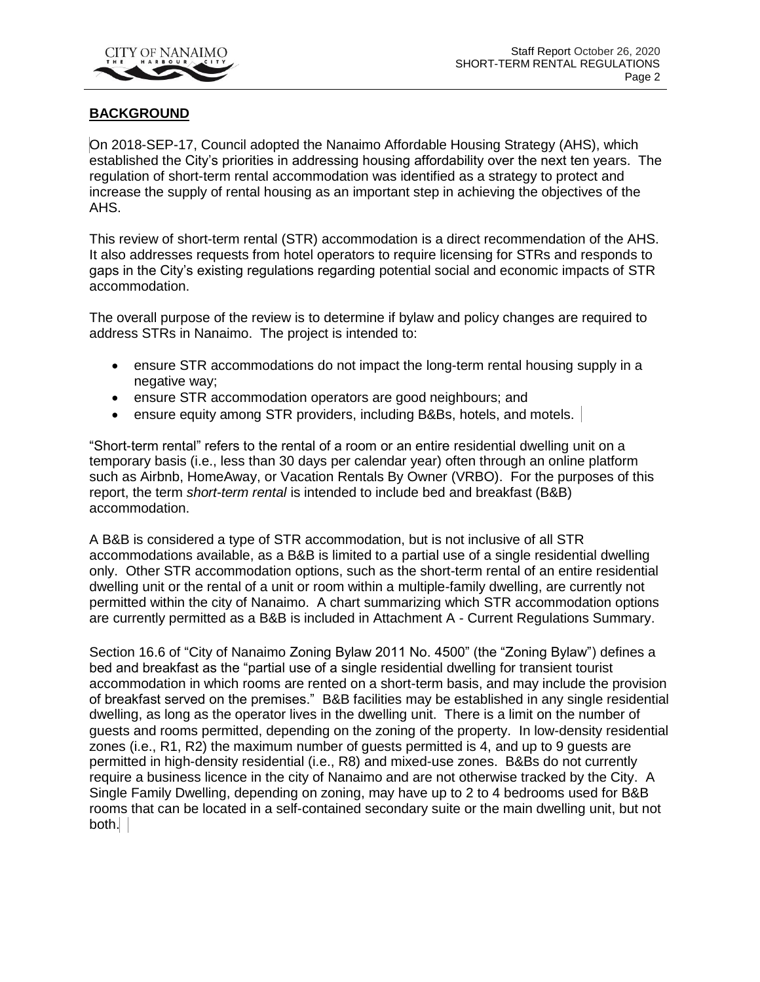

# **BACKGROUND**

On 2018-SEP-17, Council adopted the Nanaimo Affordable Housing Strategy (AHS), which established the City's priorities in addressing housing affordability over the next ten years. The regulation of short-term rental accommodation was identified as a strategy to protect and increase the supply of rental housing as an important step in achieving the objectives of the AHS.

This review of short-term rental (STR) accommodation is a direct recommendation of the AHS. It also addresses requests from hotel operators to require licensing for STRs and responds to gaps in the City's existing regulations regarding potential social and economic impacts of STR accommodation.

The overall purpose of the review is to determine if bylaw and policy changes are required to address STRs in Nanaimo. The project is intended to:

- ensure STR accommodations do not impact the long-term rental housing supply in a negative way;
- ensure STR accommodation operators are good neighbours; and
- ensure equity among STR providers, including B&Bs, hotels, and motels.

"Short-term rental" refers to the rental of a room or an entire residential dwelling unit on a temporary basis (i.e., less than 30 days per calendar year) often through an online platform such as Airbnb, HomeAway, or Vacation Rentals By Owner (VRBO). For the purposes of this report, the term *short-term rental* is intended to include bed and breakfast (B&B) accommodation.

A B&B is considered a type of STR accommodation, but is not inclusive of all STR accommodations available, as a B&B is limited to a partial use of a single residential dwelling only. Other STR accommodation options, such as the short-term rental of an entire residential dwelling unit or the rental of a unit or room within a multiple-family dwelling, are currently not permitted within the city of Nanaimo. A chart summarizing which STR accommodation options are currently permitted as a B&B is included in Attachment A - Current Regulations Summary.

Section 16.6 of "City of Nanaimo Zoning Bylaw 2011 No. 4500" (the "Zoning Bylaw") defines a bed and breakfast as the "partial use of a single residential dwelling for transient tourist accommodation in which rooms are rented on a short-term basis, and may include the provision of breakfast served on the premises." B&B facilities may be established in any single residential dwelling, as long as the operator lives in the dwelling unit. There is a limit on the number of guests and rooms permitted, depending on the zoning of the property. In low-density residential zones (i.e., R1, R2) the maximum number of guests permitted is 4, and up to 9 guests are permitted in high-density residential (i.e., R8) and mixed-use zones. B&Bs do not currently require a business licence in the city of Nanaimo and are not otherwise tracked by the City. A Single Family Dwelling, depending on zoning, may have up to 2 to 4 bedrooms used for B&B rooms that can be located in a self-contained secondary suite or the main dwelling unit, but not both.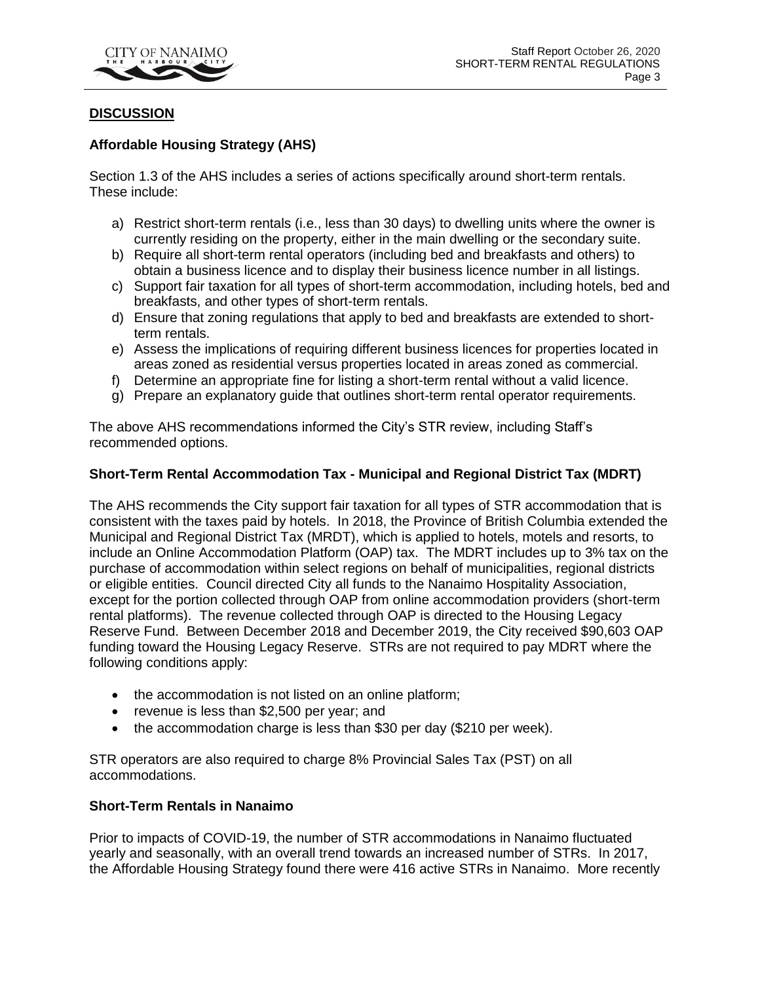

## **DISCUSSION**

## **Affordable Housing Strategy (AHS)**

Section 1.3 of the AHS includes a series of actions specifically around short-term rentals. These include:

- a) Restrict short-term rentals (i.e., less than 30 days) to dwelling units where the owner is currently residing on the property, either in the main dwelling or the secondary suite.
- b) Require all short-term rental operators (including bed and breakfasts and others) to obtain a business licence and to display their business licence number in all listings.
- c) Support fair taxation for all types of short-term accommodation, including hotels, bed and breakfasts, and other types of short-term rentals.
- d) Ensure that zoning regulations that apply to bed and breakfasts are extended to shortterm rentals.
- e) Assess the implications of requiring different business licences for properties located in areas zoned as residential versus properties located in areas zoned as commercial.
- f) Determine an appropriate fine for listing a short-term rental without a valid licence.
- g) Prepare an explanatory guide that outlines short-term rental operator requirements.

The above AHS recommendations informed the City's STR review, including Staff's recommended options.

## **Short-Term Rental Accommodation Tax - Municipal and Regional District Tax (MDRT)**

The AHS recommends the City support fair taxation for all types of STR accommodation that is consistent with the taxes paid by hotels. In 2018, the Province of British Columbia extended the Municipal and Regional District Tax (MRDT), which is applied to hotels, motels and resorts, to include an Online Accommodation Platform (OAP) tax. The MDRT includes up to 3% tax on the purchase of accommodation within select regions on behalf of municipalities, regional districts or eligible entities. Council directed City all funds to the Nanaimo Hospitality Association, except for the portion collected through OAP from online accommodation providers (short-term rental platforms). The revenue collected through OAP is directed to the Housing Legacy Reserve Fund. Between December 2018 and December 2019, the City received \$90,603 OAP funding toward the Housing Legacy Reserve. STRs are not required to pay MDRT where the following conditions apply:

- the accommodation is not listed on an online platform;
- revenue is less than \$2,500 per year; and
- the accommodation charge is less than \$30 per day (\$210 per week).

STR operators are also required to charge 8% Provincial Sales Tax (PST) on all accommodations.

#### **Short-Term Rentals in Nanaimo**

Prior to impacts of COVID-19, the number of STR accommodations in Nanaimo fluctuated yearly and seasonally, with an overall trend towards an increased number of STRs. In 2017, the Affordable Housing Strategy found there were 416 active STRs in Nanaimo. More recently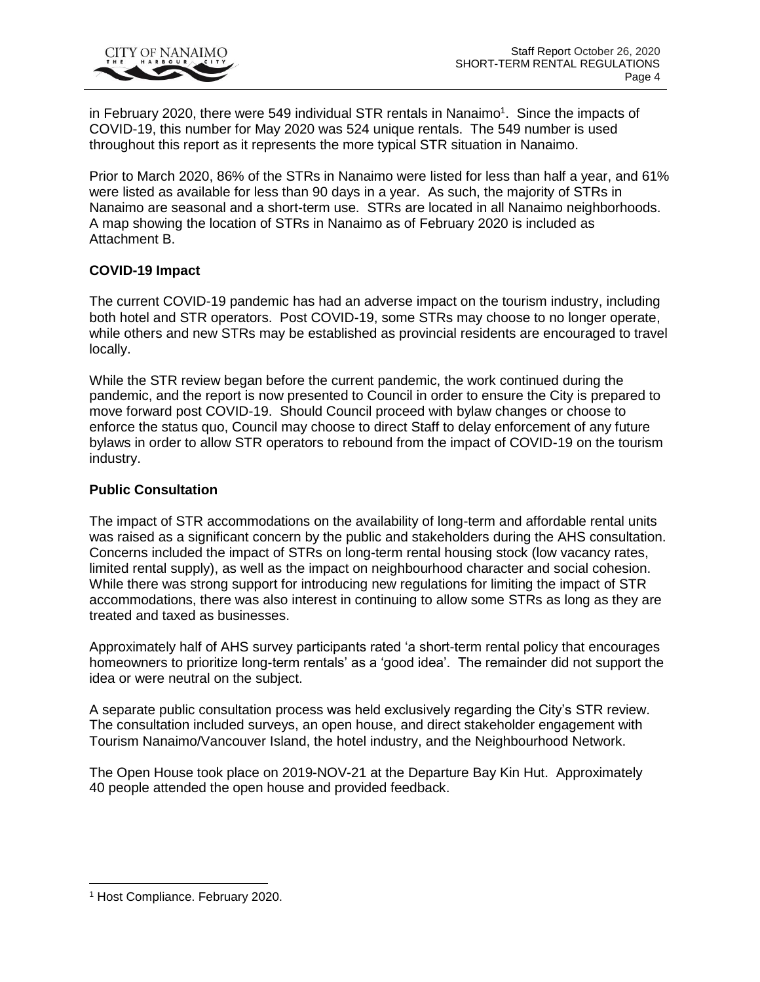

in February 2020, there were 549 individual STR rentals in Nanaimo<sup>1</sup>. Since the impacts of COVID-19, this number for May 2020 was 524 unique rentals. The 549 number is used throughout this report as it represents the more typical STR situation in Nanaimo.

Prior to March 2020, 86% of the STRs in Nanaimo were listed for less than half a year, and 61% were listed as available for less than 90 days in a year. As such, the majority of STRs in Nanaimo are seasonal and a short-term use. STRs are located in all Nanaimo neighborhoods. A map showing the location of STRs in Nanaimo as of February 2020 is included as Attachment B.

## **COVID-19 Impact**

The current COVID-19 pandemic has had an adverse impact on the tourism industry, including both hotel and STR operators. Post COVID-19, some STRs may choose to no longer operate, while others and new STRs may be established as provincial residents are encouraged to travel locally.

While the STR review began before the current pandemic, the work continued during the pandemic, and the report is now presented to Council in order to ensure the City is prepared to move forward post COVID-19. Should Council proceed with bylaw changes or choose to enforce the status quo, Council may choose to direct Staff to delay enforcement of any future bylaws in order to allow STR operators to rebound from the impact of COVID-19 on the tourism industry.

#### **Public Consultation**

The impact of STR accommodations on the availability of long-term and affordable rental units was raised as a significant concern by the public and stakeholders during the AHS consultation. Concerns included the impact of STRs on long-term rental housing stock (low vacancy rates, limited rental supply), as well as the impact on neighbourhood character and social cohesion. While there was strong support for introducing new regulations for limiting the impact of STR accommodations, there was also interest in continuing to allow some STRs as long as they are treated and taxed as businesses.

Approximately half of AHS survey participants rated 'a short-term rental policy that encourages homeowners to prioritize long-term rentals' as a 'good idea'. The remainder did not support the idea or were neutral on the subject.

A separate public consultation process was held exclusively regarding the City's STR review. The consultation included surveys, an open house, and direct stakeholder engagement with Tourism Nanaimo/Vancouver Island, the hotel industry, and the Neighbourhood Network.

The Open House took place on 2019-NOV-21 at the Departure Bay Kin Hut. Approximately 40 people attended the open house and provided feedback.

<sup>1</sup> Host Compliance. February 2020.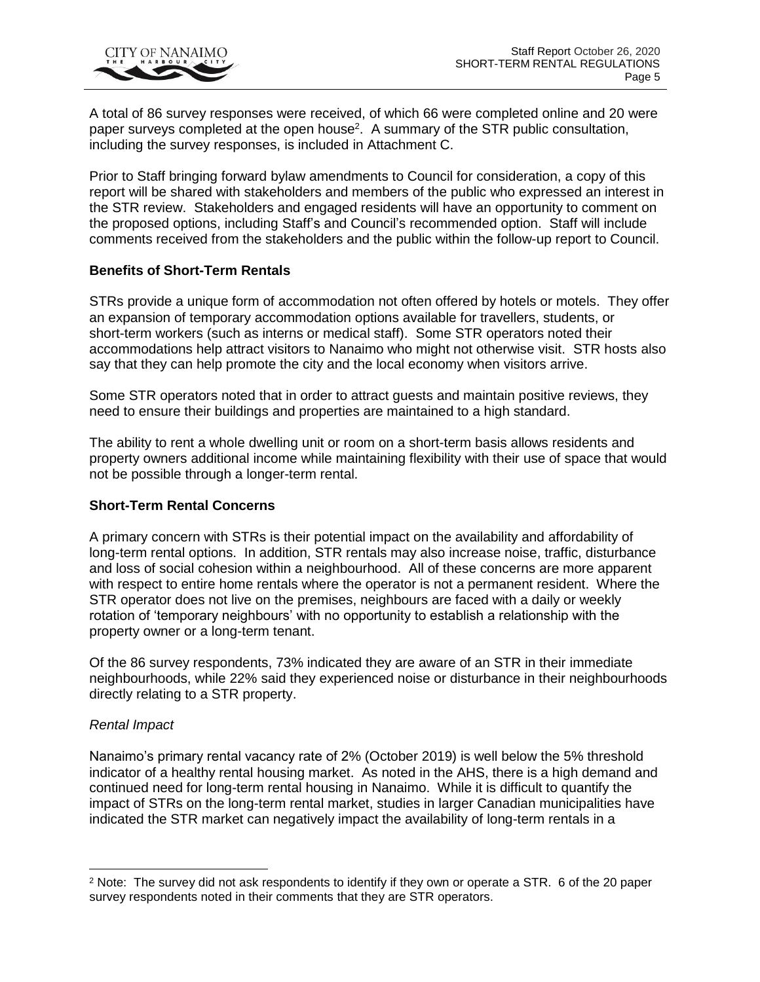A total of 86 survey responses were received, of which 66 were completed online and 20 were paper surveys completed at the open house<sup>2</sup>. A summary of the STR public consultation, including the survey responses, is included in Attachment C.

Prior to Staff bringing forward bylaw amendments to Council for consideration, a copy of this report will be shared with stakeholders and members of the public who expressed an interest in the STR review. Stakeholders and engaged residents will have an opportunity to comment on the proposed options, including Staff's and Council's recommended option. Staff will include comments received from the stakeholders and the public within the follow-up report to Council.

# **Benefits of Short-Term Rentals**

STRs provide a unique form of accommodation not often offered by hotels or motels. They offer an expansion of temporary accommodation options available for travellers, students, or short-term workers (such as interns or medical staff). Some STR operators noted their accommodations help attract visitors to Nanaimo who might not otherwise visit. STR hosts also say that they can help promote the city and the local economy when visitors arrive.

Some STR operators noted that in order to attract guests and maintain positive reviews, they need to ensure their buildings and properties are maintained to a high standard.

The ability to rent a whole dwelling unit or room on a short-term basis allows residents and property owners additional income while maintaining flexibility with their use of space that would not be possible through a longer-term rental.

# **Short-Term Rental Concerns**

A primary concern with STRs is their potential impact on the availability and affordability of long-term rental options. In addition, STR rentals may also increase noise, traffic, disturbance and loss of social cohesion within a neighbourhood. All of these concerns are more apparent with respect to entire home rentals where the operator is not a permanent resident. Where the STR operator does not live on the premises, neighbours are faced with a daily or weekly rotation of 'temporary neighbours' with no opportunity to establish a relationship with the property owner or a long-term tenant.

Of the 86 survey respondents, 73% indicated they are aware of an STR in their immediate neighbourhoods, while 22% said they experienced noise or disturbance in their neighbourhoods directly relating to a STR property.

#### *Rental Impact*

Nanaimo's primary rental vacancy rate of 2% (October 2019) is well below the 5% threshold indicator of a healthy rental housing market. As noted in the AHS, there is a high demand and continued need for long-term rental housing in Nanaimo. While it is difficult to quantify the impact of STRs on the long-term rental market, studies in larger Canadian municipalities have indicated the STR market can negatively impact the availability of long-term rentals in a

<sup>&</sup>lt;sup>2</sup> Note: The survey did not ask respondents to identify if they own or operate a STR. 6 of the 20 paper survey respondents noted in their comments that they are STR operators.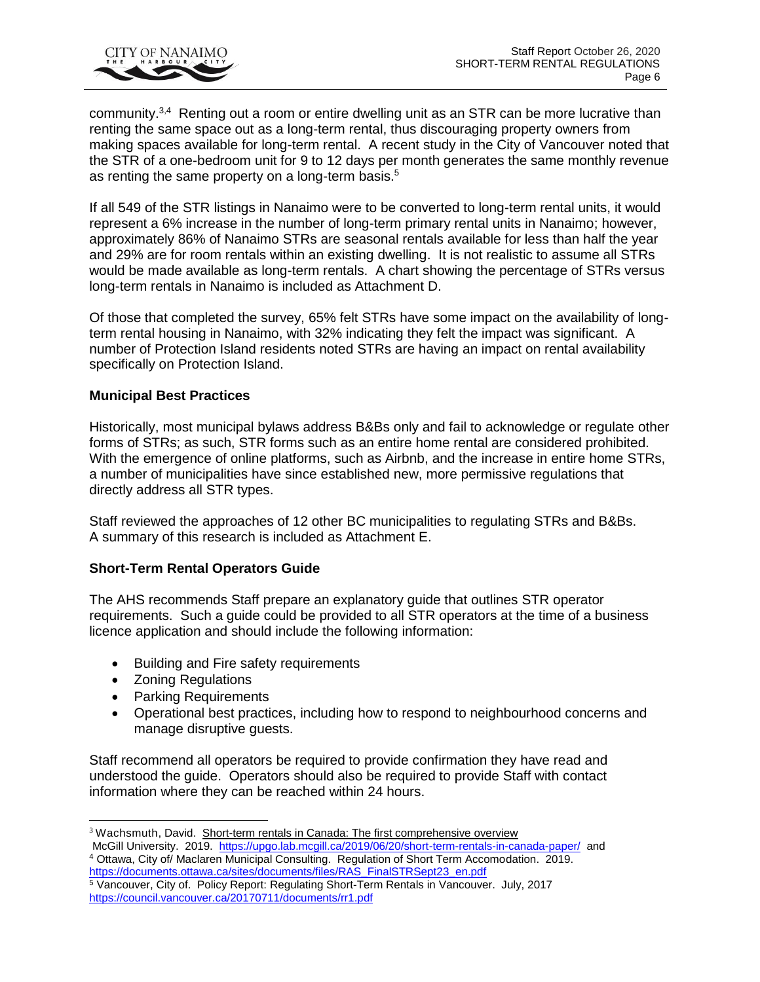

community.<sup>3,4</sup> Renting out a room or entire dwelling unit as an STR can be more lucrative than renting the same space out as a long-term rental, thus discouraging property owners from making spaces available for long-term rental. A recent study in the City of Vancouver noted that the STR of a one-bedroom unit for 9 to 12 days per month generates the same monthly revenue as renting the same property on a long-term basis.<sup>5</sup>

If all 549 of the STR listings in Nanaimo were to be converted to long-term rental units, it would represent a 6% increase in the number of long-term primary rental units in Nanaimo; however, approximately 86% of Nanaimo STRs are seasonal rentals available for less than half the year and 29% are for room rentals within an existing dwelling. It is not realistic to assume all STRs would be made available as long-term rentals. A chart showing the percentage of STRs versus long-term rentals in Nanaimo is included as Attachment D.

Of those that completed the survey, 65% felt STRs have some impact on the availability of longterm rental housing in Nanaimo, with 32% indicating they felt the impact was significant. A number of Protection Island residents noted STRs are having an impact on rental availability specifically on Protection Island.

## **Municipal Best Practices**

Historically, most municipal bylaws address B&Bs only and fail to acknowledge or regulate other forms of STRs; as such, STR forms such as an entire home rental are considered prohibited. With the emergence of online platforms, such as Airbnb, and the increase in entire home STRs, a number of municipalities have since established new, more permissive regulations that directly address all STR types.

Staff reviewed the approaches of 12 other BC municipalities to regulating STRs and B&Bs. A summary of this research is included as Attachment E.

# **Short-Term Rental Operators Guide**

The AHS recommends Staff prepare an explanatory guide that outlines STR operator requirements. Such a guide could be provided to all STR operators at the time of a business licence application and should include the following information:

- Building and Fire safety requirements
- Zoning Regulations

- Parking Requirements
- Operational best practices, including how to respond to neighbourhood concerns and manage disruptive guests.

Staff recommend all operators be required to provide confirmation they have read and understood the guide. Operators should also be required to provide Staff with contact information where they can be reached within 24 hours.

<sup>&</sup>lt;sup>3</sup> [Wachsmuth,](https://upgo.lab.mcgill.ca/authors/admin/) David. Short-term rentals in Canada: The first comprehensive overview McGill University. 2019.<https://upgo.lab.mcgill.ca/2019/06/20/short-term-rentals-in-canada-paper/>and <sup>4</sup> Ottawa, City of/ Maclaren Municipal Consulting. Regulation of Short Term Accomodation. 2019. [https://documents.ottawa.ca/sites/documents/files/RAS\\_FinalSTRSept23\\_en.pdf](https://documents.ottawa.ca/sites/documents/files/RAS_FinalSTRSept23_en.pdf)

<sup>5</sup> Vancouver, City of. Policy Report: Regulating Short-Term Rentals in Vancouver. July, 2017 <https://council.vancouver.ca/20170711/documents/rr1.pdf>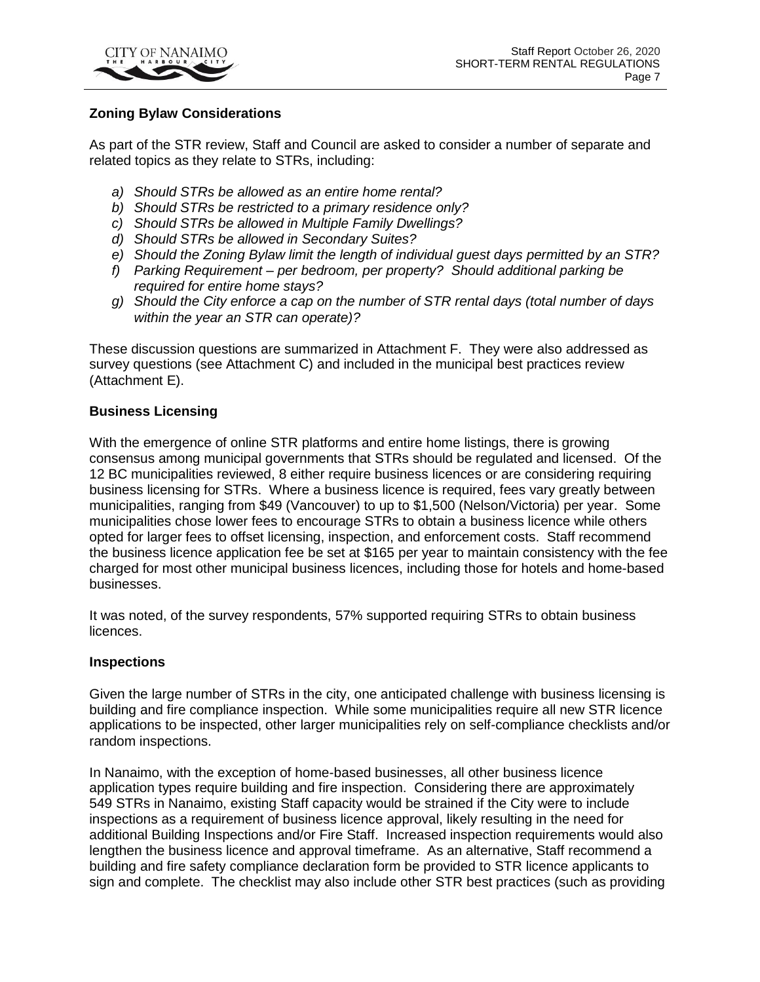

# **Zoning Bylaw Considerations**

As part of the STR review, Staff and Council are asked to consider a number of separate and related topics as they relate to STRs, including:

- *a) Should STRs be allowed as an entire home rental?*
- *b) Should STRs be restricted to a primary residence only?*
- *c) Should STRs be allowed in Multiple Family Dwellings?*
- *d) Should STRs be allowed in Secondary Suites?*
- *e) Should the Zoning Bylaw limit the length of individual guest days permitted by an STR?*
- *f) Parking Requirement – per bedroom, per property? Should additional parking be required for entire home stays?*
- *g) Should the City enforce a cap on the number of STR rental days (total number of days within the year an STR can operate)?*

These discussion questions are summarized in Attachment F. They were also addressed as survey questions (see Attachment C) and included in the municipal best practices review (Attachment E).

#### **Business Licensing**

With the emergence of online STR platforms and entire home listings, there is growing consensus among municipal governments that STRs should be regulated and licensed. Of the 12 BC municipalities reviewed, 8 either require business licences or are considering requiring business licensing for STRs. Where a business licence is required, fees vary greatly between municipalities, ranging from \$49 (Vancouver) to up to \$1,500 (Nelson/Victoria) per year. Some municipalities chose lower fees to encourage STRs to obtain a business licence while others opted for larger fees to offset licensing, inspection, and enforcement costs. Staff recommend the business licence application fee be set at \$165 per year to maintain consistency with the fee charged for most other municipal business licences, including those for hotels and home-based businesses.

It was noted, of the survey respondents, 57% supported requiring STRs to obtain business licences.

#### **Inspections**

Given the large number of STRs in the city, one anticipated challenge with business licensing is building and fire compliance inspection. While some municipalities require all new STR licence applications to be inspected, other larger municipalities rely on self-compliance checklists and/or random inspections.

In Nanaimo, with the exception of home-based businesses, all other business licence application types require building and fire inspection. Considering there are approximately 549 STRs in Nanaimo, existing Staff capacity would be strained if the City were to include inspections as a requirement of business licence approval, likely resulting in the need for additional Building Inspections and/or Fire Staff. Increased inspection requirements would also lengthen the business licence and approval timeframe. As an alternative, Staff recommend a building and fire safety compliance declaration form be provided to STR licence applicants to sign and complete. The checklist may also include other STR best practices (such as providing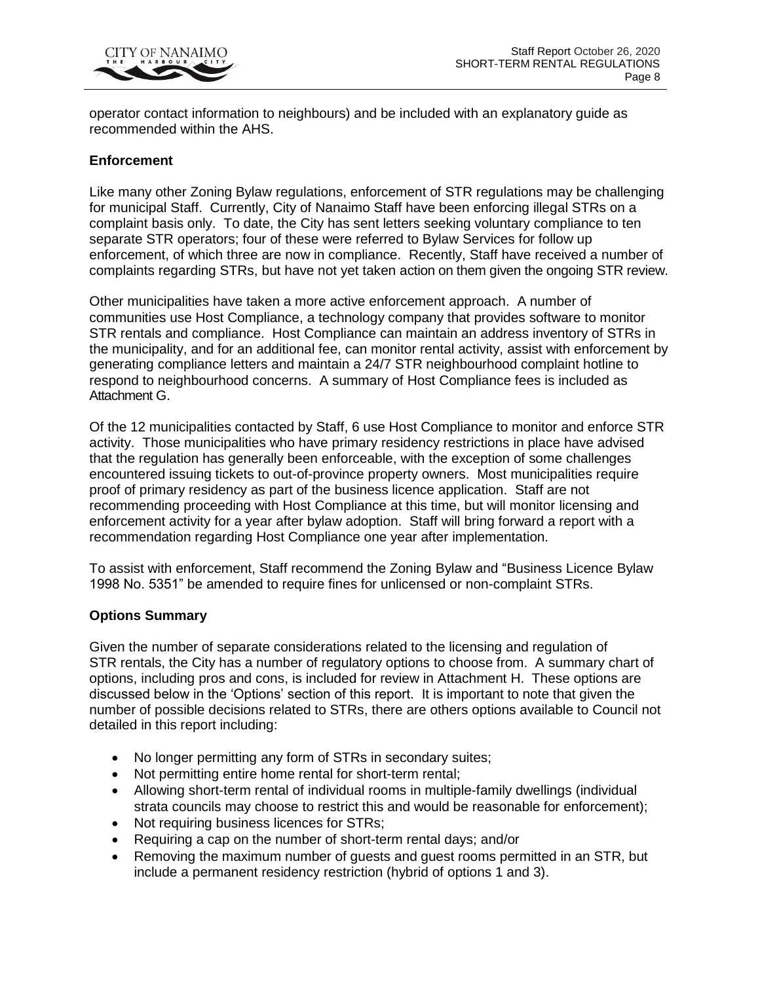

operator contact information to neighbours) and be included with an explanatory guide as recommended within the AHS.

## **Enforcement**

Like many other Zoning Bylaw regulations, enforcement of STR regulations may be challenging for municipal Staff. Currently, City of Nanaimo Staff have been enforcing illegal STRs on a complaint basis only. To date, the City has sent letters seeking voluntary compliance to ten separate STR operators; four of these were referred to Bylaw Services for follow up enforcement, of which three are now in compliance. Recently, Staff have received a number of complaints regarding STRs, but have not yet taken action on them given the ongoing STR review.

Other municipalities have taken a more active enforcement approach. A number of communities use Host Compliance, a technology company that provides software to monitor STR rentals and compliance. Host Compliance can maintain an address inventory of STRs in the municipality, and for an additional fee, can monitor rental activity, assist with enforcement by generating compliance letters and maintain a 24/7 STR neighbourhood complaint hotline to respond to neighbourhood concerns. A summary of Host Compliance fees is included as Attachment G.

Of the 12 municipalities contacted by Staff, 6 use Host Compliance to monitor and enforce STR activity. Those municipalities who have primary residency restrictions in place have advised that the regulation has generally been enforceable, with the exception of some challenges encountered issuing tickets to out-of-province property owners. Most municipalities require proof of primary residency as part of the business licence application. Staff are not recommending proceeding with Host Compliance at this time, but will monitor licensing and enforcement activity for a year after bylaw adoption. Staff will bring forward a report with a recommendation regarding Host Compliance one year after implementation.

To assist with enforcement, Staff recommend the Zoning Bylaw and "Business Licence Bylaw 1998 No. 5351" be amended to require fines for unlicensed or non-complaint STRs.

#### **Options Summary**

Given the number of separate considerations related to the licensing and regulation of STR rentals, the City has a number of regulatory options to choose from. A summary chart of options, including pros and cons, is included for review in Attachment H. These options are discussed below in the 'Options' section of this report. It is important to note that given the number of possible decisions related to STRs, there are others options available to Council not detailed in this report including:

- No longer permitting any form of STRs in secondary suites;
- Not permitting entire home rental for short-term rental;
- Allowing short-term rental of individual rooms in multiple-family dwellings (individual strata councils may choose to restrict this and would be reasonable for enforcement);
- Not requiring business licences for STRs;
- Requiring a cap on the number of short-term rental days; and/or
- Removing the maximum number of guests and guest rooms permitted in an STR, but include a permanent residency restriction (hybrid of options 1 and 3).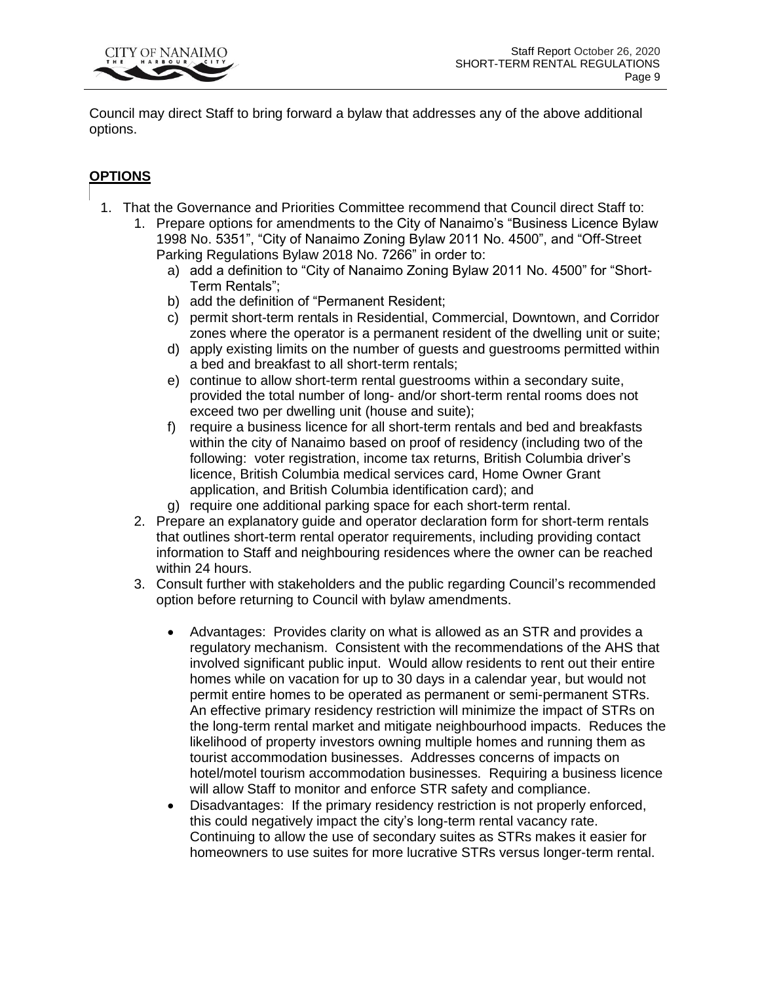

Council may direct Staff to bring forward a bylaw that addresses any of the above additional options.

# **OPTIONS**

- 1. That the Governance and Priorities Committee recommend that Council direct Staff to:
	- 1. Prepare options for amendments to the City of Nanaimo's "Business Licence Bylaw 1998 No. 5351", "City of Nanaimo Zoning Bylaw 2011 No. 4500", and "Off-Street Parking Regulations Bylaw 2018 No. 7266" in order to:
		- a) add a definition to "City of Nanaimo Zoning Bylaw 2011 No. 4500" for "Short-Term Rentals";
		- b) add the definition of "Permanent Resident;
		- c) permit short-term rentals in Residential, Commercial, Downtown, and Corridor zones where the operator is a permanent resident of the dwelling unit or suite;
		- d) apply existing limits on the number of guests and guestrooms permitted within a bed and breakfast to all short-term rentals;
		- e) continue to allow short-term rental guestrooms within a secondary suite, provided the total number of long- and/or short-term rental rooms does not exceed two per dwelling unit (house and suite);
		- f) require a business licence for all short-term rentals and bed and breakfasts within the city of Nanaimo based on proof of residency (including two of the following: voter registration, income tax returns, British Columbia driver's licence, British Columbia medical services card, Home Owner Grant application, and British Columbia identification card); and
		- g) require one additional parking space for each short-term rental.
	- 2. Prepare an explanatory guide and operator declaration form for short-term rentals that outlines short-term rental operator requirements, including providing contact information to Staff and neighbouring residences where the owner can be reached within 24 hours.
	- 3. Consult further with stakeholders and the public regarding Council's recommended option before returning to Council with bylaw amendments.
		- Advantages: Provides clarity on what is allowed as an STR and provides a regulatory mechanism. Consistent with the recommendations of the AHS that involved significant public input. Would allow residents to rent out their entire homes while on vacation for up to 30 days in a calendar year, but would not permit entire homes to be operated as permanent or semi-permanent STRs. An effective primary residency restriction will minimize the impact of STRs on the long-term rental market and mitigate neighbourhood impacts. Reduces the likelihood of property investors owning multiple homes and running them as tourist accommodation businesses. Addresses concerns of impacts on hotel/motel tourism accommodation businesses. Requiring a business licence will allow Staff to monitor and enforce STR safety and compliance.
		- Disadvantages: If the primary residency restriction is not properly enforced, this could negatively impact the city's long-term rental vacancy rate. Continuing to allow the use of secondary suites as STRs makes it easier for homeowners to use suites for more lucrative STRs versus longer-term rental.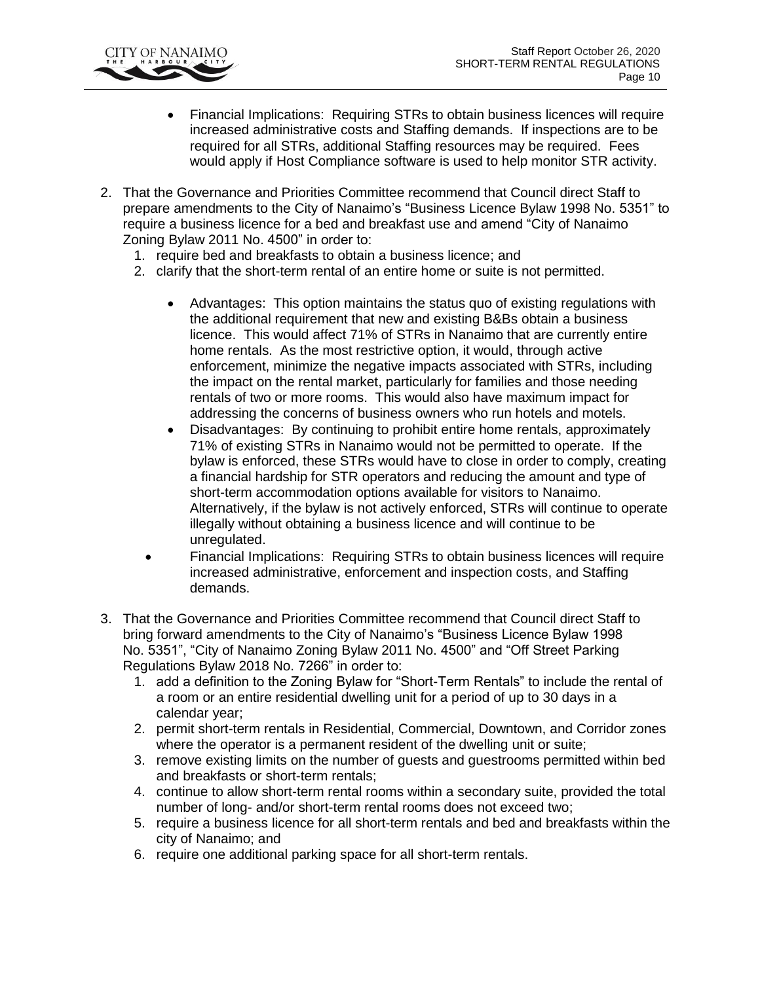

- Financial Implications: Requiring STRs to obtain business licences will require increased administrative costs and Staffing demands. If inspections are to be required for all STRs, additional Staffing resources may be required. Fees would apply if Host Compliance software is used to help monitor STR activity.
- 2. That the Governance and Priorities Committee recommend that Council direct Staff to prepare amendments to the City of Nanaimo's "Business Licence Bylaw 1998 No. 5351" to require a business licence for a bed and breakfast use and amend "City of Nanaimo Zoning Bylaw 2011 No. 4500" in order to:
	- 1. require bed and breakfasts to obtain a business licence; and
	- 2. clarify that the short-term rental of an entire home or suite is not permitted.
		- Advantages: This option maintains the status quo of existing regulations with the additional requirement that new and existing B&Bs obtain a business licence. This would affect 71% of STRs in Nanaimo that are currently entire home rentals. As the most restrictive option, it would, through active enforcement, minimize the negative impacts associated with STRs, including the impact on the rental market, particularly for families and those needing rentals of two or more rooms. This would also have maximum impact for addressing the concerns of business owners who run hotels and motels.
		- Disadvantages: By continuing to prohibit entire home rentals, approximately 71% of existing STRs in Nanaimo would not be permitted to operate. If the bylaw is enforced, these STRs would have to close in order to comply, creating a financial hardship for STR operators and reducing the amount and type of short-term accommodation options available for visitors to Nanaimo. Alternatively, if the bylaw is not actively enforced, STRs will continue to operate illegally without obtaining a business licence and will continue to be unregulated.
		- Financial Implications: Requiring STRs to obtain business licences will require increased administrative, enforcement and inspection costs, and Staffing demands.
- 3. That the Governance and Priorities Committee recommend that Council direct Staff to bring forward amendments to the City of Nanaimo's "Business Licence Bylaw 1998 No. 5351", "City of Nanaimo Zoning Bylaw 2011 No. 4500" and "Off Street Parking Regulations Bylaw 2018 No. 7266" in order to:
	- 1. add a definition to the Zoning Bylaw for "Short-Term Rentals" to include the rental of a room or an entire residential dwelling unit for a period of up to 30 days in a calendar year;
	- 2. permit short-term rentals in Residential, Commercial, Downtown, and Corridor zones where the operator is a permanent resident of the dwelling unit or suite;
	- 3. remove existing limits on the number of guests and guestrooms permitted within bed and breakfasts or short-term rentals;
	- 4. continue to allow short-term rental rooms within a secondary suite, provided the total number of long- and/or short-term rental rooms does not exceed two;
	- 5. require a business licence for all short-term rentals and bed and breakfasts within the city of Nanaimo; and
	- 6. require one additional parking space for all short-term rentals.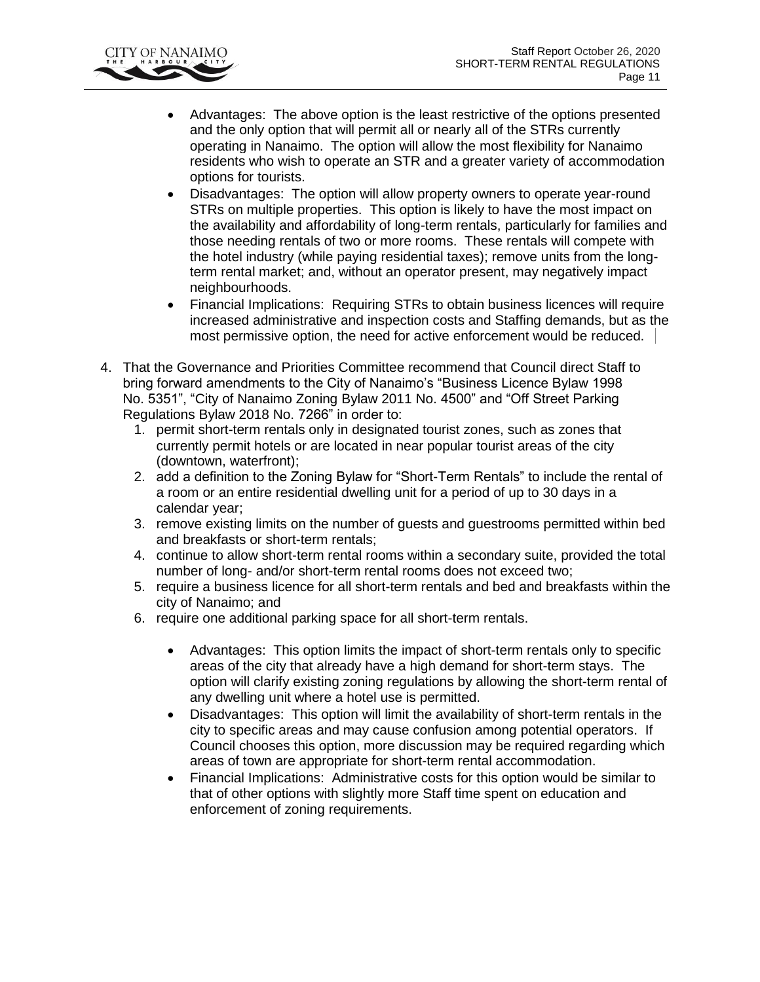

- Advantages: The above option is the least restrictive of the options presented and the only option that will permit all or nearly all of the STRs currently operating in Nanaimo. The option will allow the most flexibility for Nanaimo residents who wish to operate an STR and a greater variety of accommodation options for tourists.
- Disadvantages: The option will allow property owners to operate year-round STRs on multiple properties. This option is likely to have the most impact on the availability and affordability of long-term rentals, particularly for families and those needing rentals of two or more rooms. These rentals will compete with the hotel industry (while paying residential taxes); remove units from the longterm rental market; and, without an operator present, may negatively impact neighbourhoods.
- Financial Implications: Requiring STRs to obtain business licences will require increased administrative and inspection costs and Staffing demands, but as the most permissive option, the need for active enforcement would be reduced.
- 4. That the Governance and Priorities Committee recommend that Council direct Staff to bring forward amendments to the City of Nanaimo's "Business Licence Bylaw 1998 No. 5351", "City of Nanaimo Zoning Bylaw 2011 No. 4500" and "Off Street Parking Regulations Bylaw 2018 No. 7266" in order to:
	- 1. permit short-term rentals only in designated tourist zones, such as zones that currently permit hotels or are located in near popular tourist areas of the city (downtown, waterfront);
	- 2. add a definition to the Zoning Bylaw for "Short-Term Rentals" to include the rental of a room or an entire residential dwelling unit for a period of up to 30 days in a calendar year;
	- 3. remove existing limits on the number of guests and guestrooms permitted within bed and breakfasts or short-term rentals;
	- 4. continue to allow short-term rental rooms within a secondary suite, provided the total number of long- and/or short-term rental rooms does not exceed two;
	- 5. require a business licence for all short-term rentals and bed and breakfasts within the city of Nanaimo; and
	- 6. require one additional parking space for all short-term rentals.
		- Advantages: This option limits the impact of short-term rentals only to specific areas of the city that already have a high demand for short-term stays. The option will clarify existing zoning regulations by allowing the short-term rental of any dwelling unit where a hotel use is permitted.
		- Disadvantages: This option will limit the availability of short-term rentals in the city to specific areas and may cause confusion among potential operators. If Council chooses this option, more discussion may be required regarding which areas of town are appropriate for short-term rental accommodation.
		- Financial Implications: Administrative costs for this option would be similar to that of other options with slightly more Staff time spent on education and enforcement of zoning requirements.